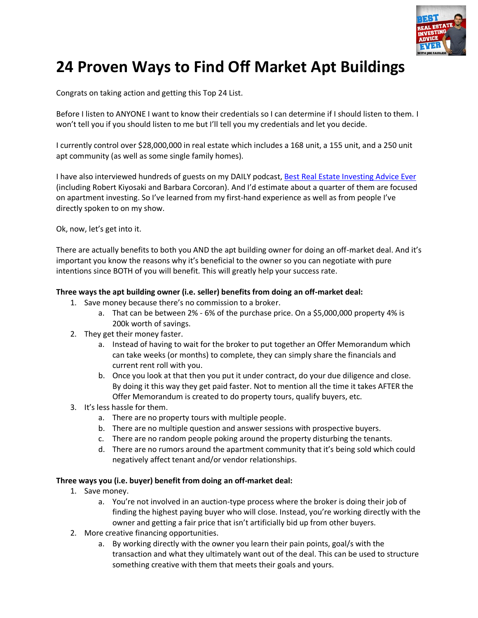

# **24 Proven Ways to Find Off Market Apt Buildings**

Congrats on taking action and getting this Top 24 List.

Before I listen to ANYONE I want to know their credentials so I can determine if I should listen to them. I won't tell you if you should listen to me but I'll tell you my credentials and let you decide.

I currently control over \$28,000,000 in real estate which includes a 168 unit, a 155 unit, and a 250 unit apt community (as well as some single family homes).

I have also interviewed hundreds of guests on my DAILY podcast, [Best Real Estate Investing Advice Ever](https://itunes.apple.com/us/podcast/best-real-estate-investing/id904025246?mt=2) (including Robert Kiyosaki and Barbara Corcoran). And I'd estimate about a quarter of them are focused on apartment investing. So I've learned from my first-hand experience as well as from people I've directly spoken to on my show.

Ok, now, let's get into it.

There are actually benefits to both you AND the apt building owner for doing an off-market deal. And it's important you know the reasons why it's beneficial to the owner so you can negotiate with pure intentions since BOTH of you will benefit. This will greatly help your success rate.

#### **Three ways the apt building owner (i.e. seller) benefits from doing an off-market deal:**

- 1. Save money because there's no commission to a broker.
	- a. That can be between 2% 6% of the purchase price. On a \$5,000,000 property 4% is 200k worth of savings.
- 2. They get their money faster.
	- a. Instead of having to wait for the broker to put together an Offer Memorandum which can take weeks (or months) to complete, they can simply share the financials and current rent roll with you.
	- b. Once you look at that then you put it under contract, do your due diligence and close. By doing it this way they get paid faster. Not to mention all the time it takes AFTER the Offer Memorandum is created to do property tours, qualify buyers, etc.
- 3. It's less hassle for them.
	- a. There are no property tours with multiple people.
	- b. There are no multiple question and answer sessions with prospective buyers.
	- c. There are no random people poking around the property disturbing the tenants.
	- d. There are no rumors around the apartment community that it's being sold which could negatively affect tenant and/or vendor relationships.

#### **Three ways you (i.e. buyer) benefit from doing an off-market deal:**

- 1. Save money.
	- a. You're not involved in an auction-type process where the broker is doing their job of finding the highest paying buyer who will close. Instead, you're working directly with the owner and getting a fair price that isn't artificially bid up from other buyers.
- 2. More creative financing opportunities.
	- a. By working directly with the owner you learn their pain points, goal/s with the transaction and what they ultimately want out of the deal. This can be used to structure something creative with them that meets their goals and yours.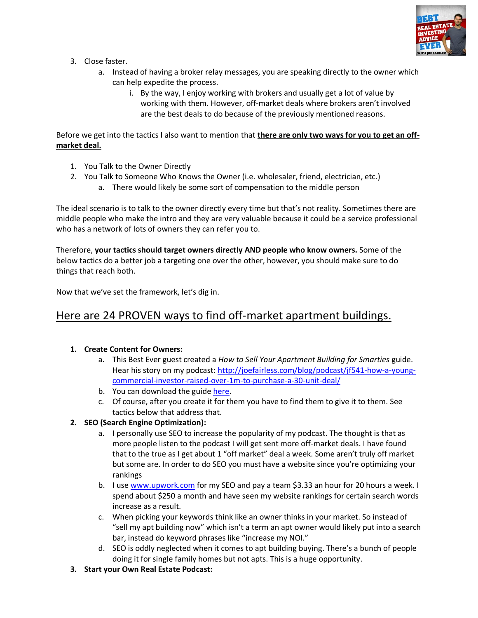

- 3. Close faster.
	- a. Instead of having a broker relay messages, you are speaking directly to the owner which can help expedite the process.
		- i. By the way, I enjoy working with brokers and usually get a lot of value by working with them. However, off-market deals where brokers aren't involved are the best deals to do because of the previously mentioned reasons.

Before we get into the tactics I also want to mention that **there are only two ways for you to get an offmarket deal.**

- 1. You Talk to the Owner Directly
- 2. You Talk to Someone Who Knows the Owner (i.e. wholesaler, friend, electrician, etc.)
	- a. There would likely be some sort of compensation to the middle person

The ideal scenario is to talk to the owner directly every time but that's not reality. Sometimes there are middle people who make the intro and they are very valuable because it could be a service professional who has a network of lots of owners they can refer you to.

Therefore, **your tactics should target owners directly AND people who know owners.** Some of the below tactics do a better job a targeting one over the other, however, you should make sure to do things that reach both.

Now that we've set the framework, let's dig in.

# Here are 24 PROVEN ways to find off-market apartment buildings.

#### **1. Create Content for Owners:**

- a. This Best Ever guest created a *How to Sell Your Apartment Building for Smarties* guide. Hear his story on my podcast: [http://joefairless.com/blog/podcast/jf541-how-a-young](http://joefairless.com/blog/podcast/jf541-how-a-young-commercial-investor-raised-over-1m-to-purchase-a-30-unit-deal/)[commercial-investor-raised-over-1m-to-purchase-a-30-unit-deal/](http://joefairless.com/blog/podcast/jf541-how-a-young-commercial-investor-raised-over-1m-to-purchase-a-30-unit-deal/)
- b. You can download the guide [here.](https://goo.gl/mpbpS3)
- c. Of course, after you create it for them you have to find them to give it to them. See tactics below that address that.

#### **2. SEO (Search Engine Optimization):**

- a. I personally use SEO to increase the popularity of my podcast. The thought is that as more people listen to the podcast I will get sent more off-market deals. I have found that to the true as I get about 1 "off market" deal a week. Some aren't truly off market but some are. In order to do SEO you must have a website since you're optimizing your rankings
- b. I use [www.upwork.com](http://www.upwork.com/) for my SEO and pay a team \$3.33 an hour for 20 hours a week. I spend about \$250 a month and have seen my website rankings for certain search words increase as a result.
- c. When picking your keywords think like an owner thinks in your market. So instead of "sell my apt building now" which isn't a term an apt owner would likely put into a search bar, instead do keyword phrases like "increase my NOI."
- d. SEO is oddly neglected when it comes to apt building buying. There's a bunch of people doing it for single family homes but not apts. This is a huge opportunity.
- **3. Start your Own Real Estate Podcast:**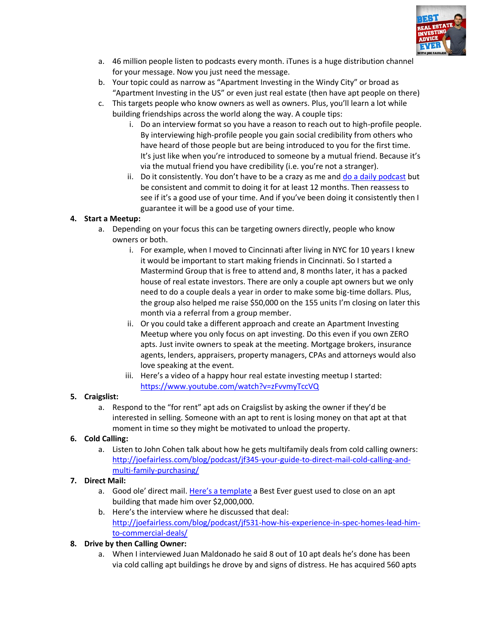

- a. 46 million people listen to podcasts every month. iTunes is a huge distribution channel for your message. Now you just need the message.
- b. Your topic could as narrow as "Apartment Investing in the Windy City" or broad as "Apartment Investing in the US" or even just real estate (then have apt people on there)
- c. This targets people who know owners as well as owners. Plus, you'll learn a lot while building friendships across the world along the way. A couple tips:
	- i. Do an interview format so you have a reason to reach out to high-profile people. By interviewing high-profile people you gain social credibility from others who have heard of those people but are being introduced to you for the first time. It's just like when you're introduced to someone by a mutual friend. Because it's via the mutual friend you have credibility (i.e. you're not a stranger).
	- ii. Do it consistently. You don't have to be a crazy as me and [do a daily podcast](https://itunes.apple.com/us/podcast/best-real-estate-investing/id904025246?mt=2) but be consistent and commit to doing it for at least 12 months. Then reassess to see if it's a good use of your time. And if you've been doing it consistently then I guarantee it will be a good use of your time.

# **4. Start a Meetup:**

- a. Depending on your focus this can be targeting owners directly, people who know owners or both.
	- i. For example, when I moved to Cincinnati after living in NYC for 10 years I knew it would be important to start making friends in Cincinnati. So I started a Mastermind Group that is free to attend and, 8 months later, it has a packed house of real estate investors. There are only a couple apt owners but we only need to do a couple deals a year in order to make some big-time dollars. Plus, the group also helped me raise \$50,000 on the 155 units I'm closing on later this month via a referral from a group member.
	- ii. Or you could take a different approach and create an Apartment Investing Meetup where you only focus on apt investing. Do this even if you own ZERO apts. Just invite owners to speak at the meeting. Mortgage brokers, insurance agents, lenders, appraisers, property managers, CPAs and attorneys would also love speaking at the event.
	- iii. Here's a video of a happy hour real estate investing meetup I started: <https://www.youtube.com/watch?v=zFvvmyTccVQ>

# **5. Craigslist:**

a. Respond to the "for rent" apt ads on Craigslist by asking the owner if they'd be interested in selling. Someone with an apt to rent is losing money on that apt at that moment in time so they might be motivated to unload the property.

# **6. Cold Calling:**

a. Listen to John Cohen talk about how he gets multifamily deals from cold calling owners: [http://joefairless.com/blog/podcast/jf345-your-guide-to-direct-mail-cold-calling-and](http://joefairless.com/blog/podcast/jf345-your-guide-to-direct-mail-cold-calling-and-multi-family-purchasing/)[multi-family-purchasing/](http://joefairless.com/blog/podcast/jf345-your-guide-to-direct-mail-cold-calling-and-multi-family-purchasing/)

# **7. Direct Mail:**

- a. Good ole' direct mail[. Here's a template](https://goo.gl/AwJGZk) a Best Ever guest used to close on an apt building that made him over \$2,000,000.
- b. Here's the interview where he discussed that deal: [http://joefairless.com/blog/podcast/jf531-how-his-experience-in-spec-homes-lead-him](http://joefairless.com/blog/podcast/jf531-how-his-experience-in-spec-homes-lead-him-to-commercial-deals/)[to-commercial-deals/](http://joefairless.com/blog/podcast/jf531-how-his-experience-in-spec-homes-lead-him-to-commercial-deals/)
- **8. Drive by then Calling Owner:** 
	- a. When I interviewed Juan Maldonado he said 8 out of 10 apt deals he's done has been via cold calling apt buildings he drove by and signs of distress. He has acquired 560 apts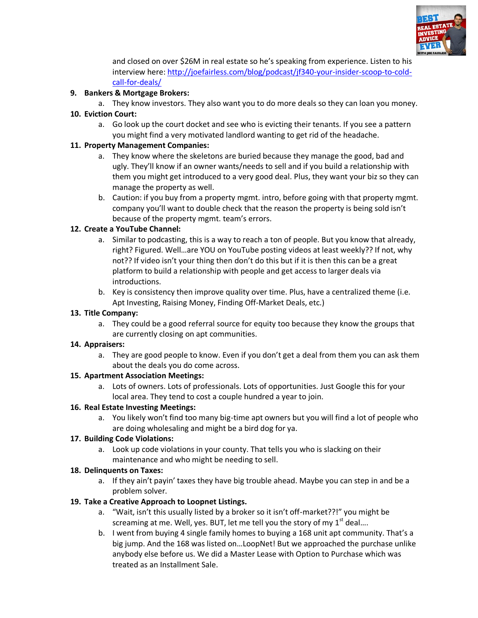

and closed on over \$26M in real estate so he's speaking from experience. Listen to his interview here[: http://joefairless.com/blog/podcast/jf340-your-insider-scoop-to-cold](http://joefairless.com/blog/podcast/jf340-your-insider-scoop-to-cold-call-for-deals/)[call-for-deals/](http://joefairless.com/blog/podcast/jf340-your-insider-scoop-to-cold-call-for-deals/)

#### **9. Bankers & Mortgage Brokers:**

a. They know investors. They also want you to do more deals so they can loan you money.

## **10. Eviction Court:**

a. Go look up the court docket and see who is evicting their tenants. If you see a pattern you might find a very motivated landlord wanting to get rid of the headache.

## **11. Property Management Companies:**

- a. They know where the skeletons are buried because they manage the good, bad and ugly. They'll know if an owner wants/needs to sell and if you build a relationship with them you might get introduced to a very good deal. Plus, they want your biz so they can manage the property as well.
- b. Caution: if you buy from a property mgmt. intro, before going with that property mgmt. company you'll want to double check that the reason the property is being sold isn't because of the property mgmt. team's errors.

## **12. Create a YouTube Channel:**

- a. Similar to podcasting, this is a way to reach a ton of people. But you know that already, right? Figured. Well…are YOU on YouTube posting videos at least weekly?? If not, why not?? If video isn't your thing then don't do this but if it is then this can be a great platform to build a relationship with people and get access to larger deals via introductions.
- b. Key is consistency then improve quality over time. Plus, have a centralized theme (i.e. Apt Investing, Raising Money, Finding Off-Market Deals, etc.)

#### **13. Title Company:**

a. They could be a good referral source for equity too because they know the groups that are currently closing on apt communities.

#### **14. Appraisers:**

a. They are good people to know. Even if you don't get a deal from them you can ask them about the deals you do come across.

#### **15. Apartment Association Meetings:**

a. Lots of owners. Lots of professionals. Lots of opportunities. Just Google this for your local area. They tend to cost a couple hundred a year to join.

# **16. Real Estate Investing Meetings:**

a. You likely won't find too many big-time apt owners but you will find a lot of people who are doing wholesaling and might be a bird dog for ya.

# **17. Building Code Violations:**

a. Look up code violations in your county. That tells you who is slacking on their maintenance and who might be needing to sell.

#### **18. Delinquents on Taxes:**

a. If they ain't payin' taxes they have big trouble ahead. Maybe you can step in and be a problem solver.

# **19. Take a Creative Approach to Loopnet Listings.**

- a. "Wait, isn't this usually listed by a broker so it isn't off-market??!" you might be screaming at me. Well, yes. BUT, let me tell you the story of my  $1<sup>st</sup>$  deal....
- b. I went from buying 4 single family homes to buying a 168 unit apt community. That's a big jump. And the 168 was listed on…LoopNet! But we approached the purchase unlike anybody else before us. We did a Master Lease with Option to Purchase which was treated as an Installment Sale.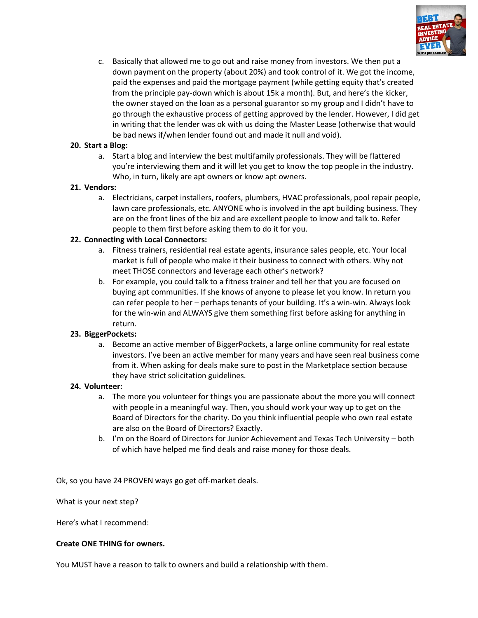

c. Basically that allowed me to go out and raise money from investors. We then put a down payment on the property (about 20%) and took control of it. We got the income, paid the expenses and paid the mortgage payment (while getting equity that's created from the principle pay-down which is about 15k a month). But, and here's the kicker, the owner stayed on the loan as a personal guarantor so my group and I didn't have to go through the exhaustive process of getting approved by the lender. However, I did get in writing that the lender was ok with us doing the Master Lease (otherwise that would be bad news if/when lender found out and made it null and void).

#### **20. Start a Blog:**

a. Start a blog and interview the best multifamily professionals. They will be flattered you're interviewing them and it will let you get to know the top people in the industry. Who, in turn, likely are apt owners or know apt owners.

#### **21. Vendors:**

a. Electricians, carpet installers, roofers, plumbers, HVAC professionals, pool repair people, lawn care professionals, etc. ANYONE who is involved in the apt building business. They are on the front lines of the biz and are excellent people to know and talk to. Refer people to them first before asking them to do it for you.

#### **22. Connecting with Local Connectors:**

- a. Fitness trainers, residential real estate agents, insurance sales people, etc. Your local market is full of people who make it their business to connect with others. Why not meet THOSE connectors and leverage each other's network?
- b. For example, you could talk to a fitness trainer and tell her that you are focused on buying apt communities. If she knows of anyone to please let you know. In return you can refer people to her – perhaps tenants of your building. It's a win-win. Always look for the win-win and ALWAYS give them something first before asking for anything in return.

#### **23. BiggerPockets:**

a. Become an active member of BiggerPockets, a large online community for real estate investors. I've been an active member for many years and have seen real business come from it. When asking for deals make sure to post in the Marketplace section because they have strict solicitation guidelines.

#### **24. Volunteer:**

- a. The more you volunteer for things you are passionate about the more you will connect with people in a meaningful way. Then, you should work your way up to get on the Board of Directors for the charity. Do you think influential people who own real estate are also on the Board of Directors? Exactly.
- b. I'm on the Board of Directors for Junior Achievement and Texas Tech University both of which have helped me find deals and raise money for those deals.

Ok, so you have 24 PROVEN ways go get off-market deals.

What is your next step?

Here's what I recommend:

#### **Create ONE THING for owners.**

You MUST have a reason to talk to owners and build a relationship with them.